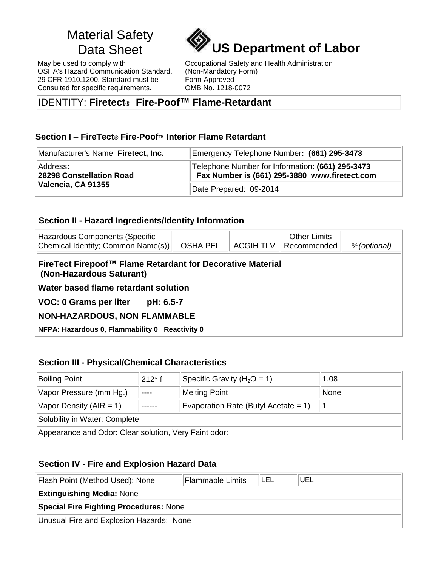# Material Safety

May be used to comply with OSHA's Hazard Communication Standard, 29 CFR 1910.1200. Standard must be Consulted for specific requirements.



Occupational Safety and Health Administration (Non-Mandatory Form) Form Approved OMB No. 1218-0072

## IDENTITY: **Firetect® Fire-Poof™ Flame-Retardant**

## **Section I** – **FireTect® Fire-Poof™ Interior Flame Retardant**

| Manufacturer's Name Firetect, Inc.   | Emergency Telephone Number: (661) 295-3473                                                        |  |  |
|--------------------------------------|---------------------------------------------------------------------------------------------------|--|--|
| Address:<br>28298 Constellation Road | Telephone Number for Information: (661) 295-3473<br>Fax Number is (661) 295-3880 www.firetect.com |  |  |
| Valencia, CA 91355                   | Date Prepared: 09-2014                                                                            |  |  |

#### **Section II - Hazard Ingredients/Identity Information**

| Hazardous Components (Specific<br>Chemical Identity; Common Name(s))                   | <b>OSHA PEL</b> | <b>ACGIH TLV</b> | <b>Other Limits</b><br>Recommended | %(optional) |  |  |  |
|----------------------------------------------------------------------------------------|-----------------|------------------|------------------------------------|-------------|--|--|--|
| FireTect Firepoof™ Flame Retardant for Decorative Material<br>(Non-Hazardous Saturant) |                 |                  |                                    |             |  |  |  |
| Water based flame retardant solution                                                   |                 |                  |                                    |             |  |  |  |
| <b>VOC: 0 Grams per liter</b><br>pH: 6.5-7                                             |                 |                  |                                    |             |  |  |  |
| <b>NON-HAZARDOUS, NON FLAMMABLE</b>                                                    |                 |                  |                                    |             |  |  |  |
| NFPA: Hazardous 0, Flammability 0 Reactivity 0                                         |                 |                  |                                    |             |  |  |  |

## **Section III - Physical/Chemical Characteristics**

| <b>Boiling Point</b>                                  | $212^{\circ}$ f | Specific Gravity ( $H_2O = 1$ )      | 1.08 |  |
|-------------------------------------------------------|-----------------|--------------------------------------|------|--|
| Vapor Pressure (mm Hg.)                               |                 | <b>Melting Point</b>                 | None |  |
| Vapor Density $(AIR = 1)$                             |                 | Evaporation Rate (Butyl Acetate = 1) |      |  |
| Solubility in Water: Complete                         |                 |                                      |      |  |
| Appearance and Odor: Clear solution, Very Faint odor: |                 |                                      |      |  |

## **Section IV - Fire and Explosion Hazard Data**

| Flash Point (Method Used): None          | <b>Flammable Limits</b> | 'LEL | <b>UEL</b> |
|------------------------------------------|-------------------------|------|------------|
| <b>Extinguishing Media: None</b>         |                         |      |            |
| Special Fire Fighting Procedures: None   |                         |      |            |
| Unusual Fire and Explosion Hazards: None |                         |      |            |